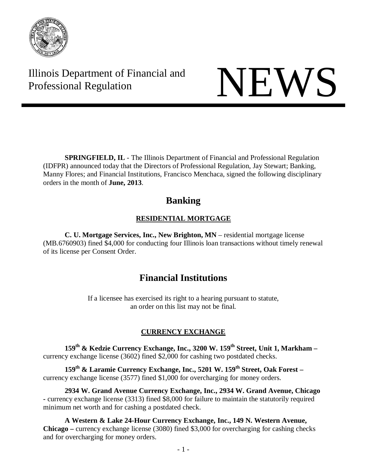

Illinois Department of Financial and THE Professional Regulation NEWS

**SPRINGFIELD, IL** - The Illinois Department of Financial and Professional Regulation (IDFPR) announced today that the Directors of Professional Regulation, Jay Stewart; Banking, Manny Flores; and Financial Institutions, Francisco Menchaca, signed the following disciplinary orders in the month of **June, 2013**.

# **Banking**

# **RESIDENTIAL MORTGAGE**

**C. U. Mortgage Services, Inc., New Brighton, MN** – residential mortgage license (MB.6760903) fined \$4,000 for conducting four Illinois loan transactions without timely renewal of its license per Consent Order.

# **Financial Institutions**

If a licensee has exercised its right to a hearing pursuant to statute, an order on this list may not be final.

# **CURRENCY EXCHANGE**

**159th & Kedzie Currency Exchange, Inc., 3200 W. 159th Street, Unit 1, Markham –** currency exchange license (3602) fined \$2,000 for cashing two postdated checks.

**159th & Laramie Currency Exchange, Inc., 5201 W. 159th Street, Oak Forest –** currency exchange license (3577) fined \$1,000 for overcharging for money orders.

**2934 W. Grand Avenue Currency Exchange, Inc., 2934 W. Grand Avenue, Chicago -** currency exchange license (3313) fined \$8,000 for failure to maintain the statutorily required minimum net worth and for cashing a postdated check.

**A Western & Lake 24-Hour Currency Exchange, Inc., 149 N. Western Avenue, Chicago –** currency exchange license (3080) fined \$3,000 for overcharging for cashing checks and for overcharging for money orders.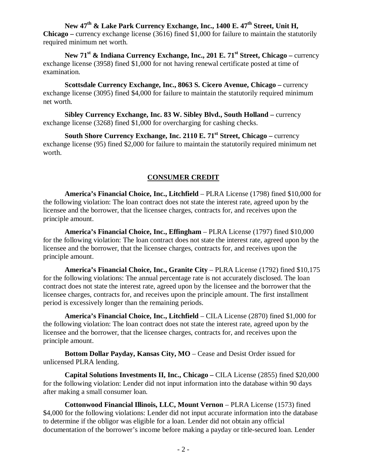**New 47th & Lake Park Currency Exchange, Inc., 1400 E. 47th Street, Unit H, Chicago –** currency exchange license (3616) fined \$1,000 for failure to maintain the statutorily required minimum net worth.

**New 71st & Indiana Currency Exchange, Inc., 201 E. 71st Street, Chicago –** currency exchange license (3958) fined \$1,000 for not having renewal certificate posted at time of examination.

**Scottsdale Currency Exchange, Inc., 8063 S. Cicero Avenue, Chicago –** currency exchange license (3095) fined \$4,000 for failure to maintain the statutorily required minimum net worth.

**Sibley Currency Exchange, Inc. 83 W. Sibley Blvd., South Holland –** currency exchange license (3268) fined \$1,000 for overcharging for cashing checks.

**South Shore Currency Exchange, Inc. 2110 E. 71st Street, Chicago –** currency exchange license (95) fined \$2,000 for failure to maintain the statutorily required minimum net worth.

#### **CONSUMER CREDIT**

**America's Financial Choice, Inc., Litchfield** – PLRA License (1798) fined \$10,000 for the following violation: The loan contract does not state the interest rate, agreed upon by the licensee and the borrower, that the licensee charges, contracts for, and receives upon the principle amount.

**America's Financial Choice, Inc., Effingham** – PLRA License (1797) fined \$10,000 for the following violation: The loan contract does not state the interest rate, agreed upon by the licensee and the borrower, that the licensee charges, contracts for, and receives upon the principle amount.

**America's Financial Choice, Inc., Granite City** – PLRA License (1792) fined \$10,175 for the following violations: The annual percentage rate is not accurately disclosed. The loan contract does not state the interest rate, agreed upon by the licensee and the borrower that the licensee charges, contracts for, and receives upon the principle amount. The first installment period is excessively longer than the remaining periods.

**America's Financial Choice, Inc., Litchfield** – CILA License (2870) fined \$1,000 for the following violation: The loan contract does not state the interest rate, agreed upon by the licensee and the borrower, that the licensee charges, contracts for, and receives upon the principle amount.

**Bottom Dollar Payday, Kansas City, MO** – Cease and Desist Order issued for unlicensed PLRA lending.

**Capital Solutions Investments II, Inc., Chicago –** CILA License (2855) fined \$20,000 for the following violation: Lender did not input information into the database within 90 days after making a small consumer loan.

**Cottonwood Financial Illinois, LLC, Mount Vernon** – PLRA License (1573) fined \$4,000 for the following violations: Lender did not input accurate information into the database to determine if the obligor was eligible for a loan. Lender did not obtain any official documentation of the borrower's income before making a payday or title-secured loan. Lender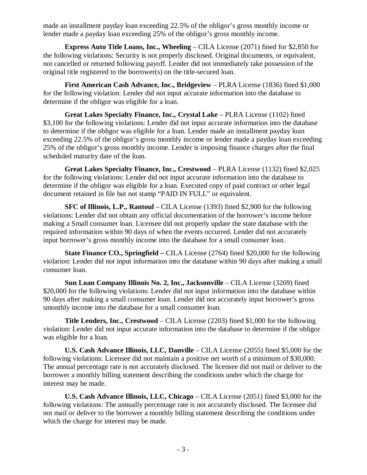made an installment payday loan exceeding 22.5% of the obligor's gross monthly income or lender made a payday loan exceeding 25% of the obligor's gross monthly income.

**Express Auto Title Loans, Inc., Wheeling** – CILA License (2071) fined for \$2,850 for the following violations: Security is not properly disclosed. Original documents, or equivalent, not cancelled or returned following payoff. Lender did not immediately take possession of the original title registered to the borrower(s) on the title-secured loan.

**First American Cash Advance, Inc., Bridgeview** – PLRA License (1836) fined \$1,000 for the following violation: Lender did not input accurate information into the database to determine if the obligor was eligible for a loan.

**Great Lakes Specialty Finance, Inc., Crystal Lake** – PLRA License (1102) fined \$3,100 for the following violations: Lender did not input accurate information into the database to determine if the obligor was eligible for a loan. Lender made an installment payday loan exceeding 22.5% of the obligor's gross monthly income or lender made a payday loan exceeding 25% of the obligor's gross monthly income. Lender is imposing finance charges after the final scheduled maturity date of the loan.

**Great Lakes Specialty Finance, Inc., Crestwood** – PLRA License (1132) fined \$2,025 for the following violations: Lender did not input accurate information into the database to determine if the obligor was eligible for a loan. Executed copy of paid contract or other legal document retained in file but not stamp "PAID IN FULL" or equivalent.

**SFC of Illinois, L.P., Rantoul** – CILA License (1393) fined \$2,900 for the following violations: Lender did not obtain any official documentation of the borrower's income before making a Small consumer loan. Licensee did not properly update the state database with the required information within 90 days of when the events occurred. Lender did not accurately input borrower's gross monthly income into the database for a small consumer loan.

**State Finance CO., Springfield –** CILA License (2764) fined \$20,000 for the following violation: Lender did not input information into the database within 90 days after making a small consumer loan.

**Sun Loan Company Illinois No. 2, Inc., Jacksonville** – CILA License (3269) fined \$20,000 for the following violations: Lender did not input information into the database within 90 days after making a small consumer loan. Lender did not accurately input borrower's gross smonthly income into the database for a small consumer loan.

**Title Lenders, Inc., Crestwood** – CILA License (2203) fined \$1,000 for the following violation: Lender did not input accurate information into the database to determine if the obligor was eligible for a loan.

**U.S. Cash Advance Illinois, LLC, Danville** – CILA License (2055) fined \$5,000 for the following violations: Licensee did not maintain a positive net worth of a minimum of \$30,000. The annual percentage rate is not accurately disclosed. The licensee did not mail or deliver to the borrower a monthly billing statement describing the conditions under which the charge for interest may be made.

**U.S. Cash Advance Illinois, LLC, Chicago** – CILA License (2051) fined \$3,000 for the following violations: The annually percentage rate is not accurately disclosed. The licensee did not mail or deliver to the borrower a monthly billing statement describing the conditions under which the charge for interest may be made.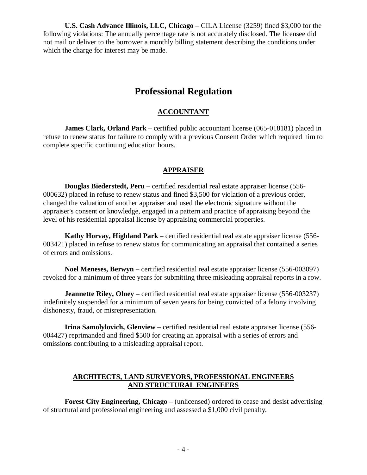**U.S. Cash Advance Illinois, LLC, Chicago** – CILA License (3259) fined \$3,000 for the following violations: The annually percentage rate is not accurately disclosed. The licensee did not mail or deliver to the borrower a monthly billing statement describing the conditions under which the charge for interest may be made.

# **Professional Regulation**

### **ACCOUNTANT**

**James Clark, Orland Park** – certified public accountant license (065-018181) placed in refuse to renew status for failure to comply with a previous Consent Order which required him to complete specific continuing education hours.

## **APPRAISER**

**Douglas Biederstedt, Peru** – certified residential real estate appraiser license (556- 000632) placed in refuse to renew status and fined \$3,500 for violation of a previous order, changed the valuation of another appraiser and used the electronic signature without the appraiser's consent or knowledge, engaged in a pattern and practice of appraising beyond the level of his residential appraisal license by appraising commercial properties.

**Kathy Horvay, Highland Park** – certified residential real estate appraiser license (556- 003421) placed in refuse to renew status for communicating an appraisal that contained a series of errors and omissions.

**Noel Meneses, Berwyn** – certified residential real estate appraiser license (556-003097) revoked for a minimum of three years for submitting three misleading appraisal reports in a row.

**Jeannette Riley, Olney** – certified residential real estate appraiser license (556-003237) indefinitely suspended for a minimum of seven years for being convicted of a felony involving dishonesty, fraud, or misrepresentation.

**Irina Samolylovich, Glenview** – certified residential real estate appraiser license (556- 004427) reprimanded and fined \$500 for creating an appraisal with a series of errors and omissions contributing to a misleading appraisal report.

#### **ARCHITECTS, LAND SURVEYORS, PROFESSIONAL ENGINEERS AND STRUCTURAL ENGINEERS**

**Forest City Engineering, Chicago** – (unlicensed) ordered to cease and desist advertising of structural and professional engineering and assessed a \$1,000 civil penalty.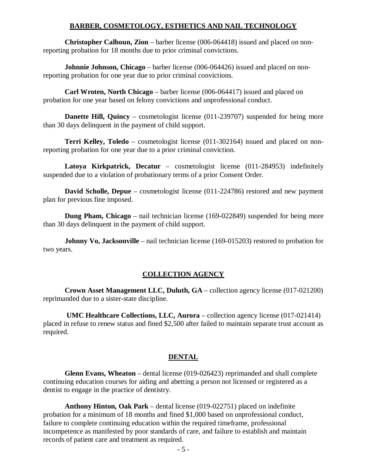#### **BARBER, COSMETOLOGY, ESTHETICS AND NAIL TECHNOLOGY**

**Christopher Calhoun, Zion** – barber license (006-064418) issued and placed on nonreporting probation for 18 months due to prior criminal convictions.

**Johnnie Johnson, Chicago** – barber license (006-064426) issued and placed on nonreporting probation for one year due to prior criminal convictions.

**Carl Wroten, North Chicago** – barber license (006-064417) issued and placed on probation for one year based on felony convictions and unprofessional conduct.

**Danette Hill, Quincy** – cosmetologist license (011-239707) suspended for being more than 30 days delinquent in the payment of child support.

**Terri Kelley, Toledo** – cosmetologist license (011-302164) issued and placed on nonreporting probation for one year due to a prior criminal conviction.

**Latoya Kirkpatrick, Decatur** – cosmetologist license (011-284953) indefinitely suspended due to a violation of probationary terms of a prior Consent Order.

**David Scholle, Depue** – cosmetologist license (011-224786) restored and new payment plan for previous fine imposed.

**Dung Pham, Chicago** – nail technician license (169-022849) suspended for being more than 30 days delinquent in the payment of child support.

**Johnny Vo, Jacksonville** – nail technician license (169-015203) restored to probation for two years.

#### **COLLECTION AGENCY**

**Crown Asset Management LLC, Duluth, GA** – collection agency license (017-021200) reprimanded due to a sister-state discipline.

**UMC Healthcare Collections, LLC, Aurora** – collection agency license (017-021414) placed in refuse to renew status and fined \$2,500 after failed to maintain separate trust account as required.

#### **DENTAL**

**Glenn Evans, Wheaton** – dental license (019-026423) reprimanded and shall complete continuing education courses for aiding and abetting a person not licensed or registered as a dentist to engage in the practice of dentistry.

**Anthony Hinton, Oak Park** – dental license (019-022751) placed on indefinite probation for a minimum of 18 months and fined \$1,000 based on unprofessional conduct, failure to complete continuing education within the required timeframe, professional incompetence as manifested by poor standards of care, and failure to establish and maintain records of patient care and treatment as required.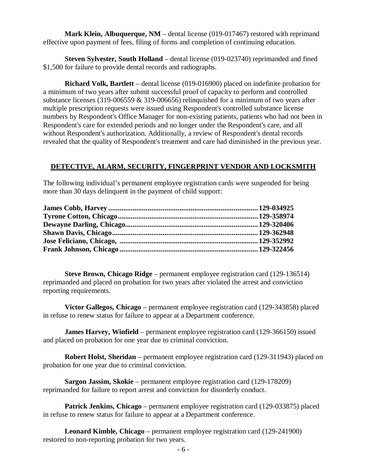**Mark Klein, Albuquerque, NM** – dental license (019-017467) restored with reprimand effective upon payment of fees, filing of forms and completion of continuing education.

**Steven Sylvester, South Holland** – dental license (019-023740) reprimanded and fined \$1,500 for failure to provide dental records and radiographs.

**Richard Volk, Bartlett** – dental license (019-016900) placed on indefinite probation for a minimum of two years after submit successful proof of capacity to perform and controlled substance licenses (319-006559 & 319-006656) relinquished for a minimum of two years after multiple prescription requests were issued using Respondent's controlled substance license numbers by Respondent's Office Manager for non-existing patients, patients who had not been in Respondent's care for extended periods and no longer under the Respondent's care, and all without Respondent's authorization. Additionally, a review of Respondent's dental records revealed that the quality of Respondent's treatment and care had diminished in the previous year.

#### **DETECTIVE, ALARM, SECURITY, FINGERPRINT VENDOR AND LOCKSMITH**

The following individual's permanent employee registration cards were suspended for being more than 30 days delinquent in the payment of child support:

**Steve Brown, Chicago Ridge** – permanent employee registration card (129-136514) reprimanded and placed on probation for two years after violated the arrest and conviction reporting requirements.

**Victor Gallegos, Chicago** – permanent employee registration card (129-343858) placed in refuse to renew status for failure to appear at a Department conference.

**James Harvey, Winfield** – permanent employee registration card (129-366150) issued and placed on probation for one year due to criminal conviction.

**Robert Holst, Sheridan** – permanent employee registration card (129-311943) placed on probation for one year due to criminal conviction.

**Sargon Jassim, Skokie** – permanent employee registration card (129-178209) reprimanded for failure to report arrest and conviction for disorderly conduct.

**Patrick Jenkins, Chicago** – permanent employee registration card (129-033875) placed in refuse to renew status for failure to appear at a Department conference.

**Leonard Kimble, Chicago** – permanent employee registration card (129-241900) restored to non-reporting probation for two years.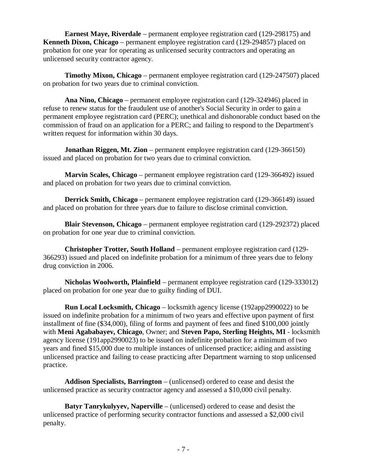**Earnest Maye, Riverdale** – permanent employee registration card (129-298175) and **Kenneth Dixon, Chicago** – permanent employee registration card (129-294857) placed on probation for one year for operating as unlicensed security contractors and operating an unlicensed security contractor agency.

**Timothy Mixon, Chicago** – permanent employee registration card (129-247507) placed on probation for two years due to criminal conviction.

**Ana Nino, Chicago** – permanent employee registration card (129-324946) placed in refuse to renew status for the fraudulent use of another's Social Security in order to gain a permanent employee registration card (PERC); unethical and dishonorable conduct based on the commission of fraud on an application for a PERC; and failing to respond to the Department's written request for information within 30 days.

**Jonathan Riggen, Mt. Zion** – permanent employee registration card (129-366150) issued and placed on probation for two years due to criminal conviction.

**Marvin Scales, Chicago** – permanent employee registration card (129-366492) issued and placed on probation for two years due to criminal conviction.

**Derrick Smith, Chicago** – permanent employee registration card (129-366149) issued and placed on probation for three years due to failure to disclose criminal conviction.

**Blair Stevenson, Chicago** – permanent employee registration card (129-292372) placed on probation for one year due to criminal conviction.

**Christopher Trotter, South Holland** – permanent employee registration card (129- 366293) issued and placed on indefinite probation for a minimum of three years due to felony drug conviction in 2006.

**Nicholas Woolworth, Plainfield** – permanent employee registration card (129-333012) placed on probation for one year due to guilty finding of DUI.

**Run Local Locksmith, Chicago** – locksmith agency license (192app2990022) to be issued on indefinite probation for a minimum of two years and effective upon payment of first installment of fine (\$34,000), filing of forms and payment of fees and fined \$100,000 jointly with **Meni Agababayev, Chicago**, Owner; and **Steven Papo, Sterling Heights, MI** - locksmith agency license (191app2990023) to be issued on indefinite probation for a minimum of two years and fined \$15,000 due to multiple instances of unlicensed practice; aiding and assisting unlicensed practice and failing to cease practicing after Department warning to stop unlicensed practice.

**Addison Specialists, Barrington** – (unlicensed) ordered to cease and desist the unlicensed practice as security contractor agency and assessed a \$10,000 civil penalty.

**Batyr Tanrykulyyev, Naperville** – (unlicensed) ordered to cease and desist the unlicensed practice of performing security contractor functions and assessed a \$2,000 civil penalty.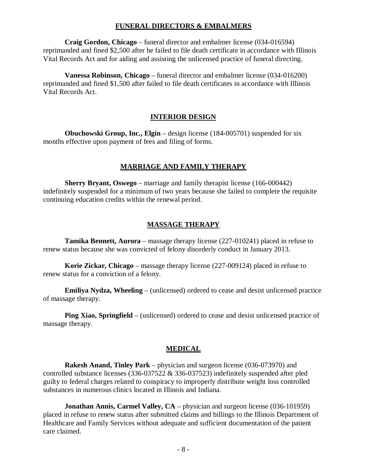#### **FUNERAL DIRECTORS & EMBALMERS**

**Craig Gordon, Chicago** – funeral director and embalmer license (034-016594) reprimanded and fined \$2,500 after he failed to file death certificate in accordance with Illinois Vital Records Act and for aiding and assisting the unlicensed practice of funeral directing.

**Vanessa Robinson, Chicago** – funeral director and embalmer license (034-016200) reprimanded and fined \$1,500 after failed to file death certificates in accordance with Illinois Vital Records Act.

#### **INTERIOR DESIGN**

**Obuchowski Group, Inc., Elgin** – design license (184-005701) suspended for six months effective upon payment of fees and filing of forms.

#### **MARRIAGE AND FAMILY THERAPY**

**Sherry Bryant, Oswego** – marriage and family therapist license (166-000442) indefinitely suspended for a minimum of two years because she failed to complete the requisite continuing education credits within the renewal period.

#### **MASSAGE THERAPY**

**Tamika Bennett, Aurora** – massage therapy license (227-010241) placed in refuse to renew status because she was convicted of felony disorderly conduct in January 2013.

**Korie Zickar, Chicago** – massage therapy license (227-009124) placed in refuse to renew status for a conviction of a felony.

**Emiliya Nydza, Wheeling** – (unlicensed) ordered to cease and desist unlicensed practice of massage therapy.

**Ping Xiao, Springfield** – (unlicensed) ordered to cease and desist unlicensed practice of massage therapy.

#### **MEDICAL**

**Rakesh Anand, Tinley Park** – physician and surgeon license (036-073970) and controlled substance licenses (336-037522 & 336-037523) indefinitely suspended after pled guilty to federal charges related to conspiracy to improperly distribute weight loss controlled substances in numerous clinics located in Illinois and Indiana.

**Jonathan Annis, Carmel Valley, CA** – physician and surgeon license (036-101959) placed in refuse to renew status after submitted claims and billings to the Illinois Department of Healthcare and Family Services without adequate and sufficient documentation of the patient care claimed.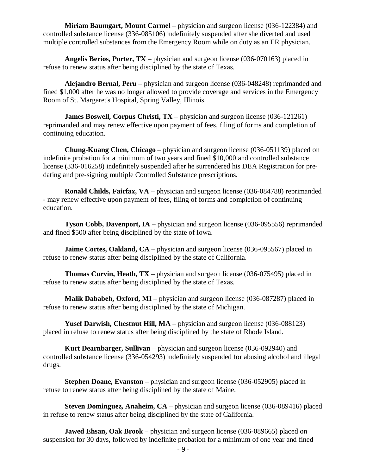**Miriam Baumgart, Mount Carmel** – physician and surgeon license (036-122384) and controlled substance license (336-085106) indefinitely suspended after she diverted and used multiple controlled substances from the Emergency Room while on duty as an ER physician.

**Angelis Berios, Porter, TX** – physician and surgeon license (036-070163) placed in refuse to renew status after being disciplined by the state of Texas.

**Alejandro Bernal, Peru** – physician and surgeon license (036-048248) reprimanded and fined \$1,000 after he was no longer allowed to provide coverage and services in the Emergency Room of St. Margaret's Hospital, Spring Valley, Illinois.

**James Boswell, Corpus Christi, TX** – physician and surgeon license (036-121261) reprimanded and may renew effective upon payment of fees, filing of forms and completion of continuing education.

**Chung-Kuang Chen, Chicago** – physician and surgeon license (036-051139) placed on indefinite probation for a minimum of two years and fined \$10,000 and controlled substance license (336-016258) indefinitely suspended after he surrendered his DEA Registration for predating and pre-signing multiple Controlled Substance prescriptions.

**Ronald Childs, Fairfax, VA** – physician and surgeon license (036-084788) reprimanded - may renew effective upon payment of fees, filing of forms and completion of continuing education.

**Tyson Cobb, Davenport, IA** – physician and surgeon license (036-095556) reprimanded and fined \$500 after being disciplined by the state of Iowa.

**Jaime Cortes, Oakland, CA** – physician and surgeon license (036-095567) placed in refuse to renew status after being disciplined by the state of California.

**Thomas Curvin, Heath, TX** – physician and surgeon license (036-075495) placed in refuse to renew status after being disciplined by the state of Texas.

**Malik Dababeh, Oxford, MI** – physician and surgeon license (036-087287) placed in refuse to renew status after being disciplined by the state of Michigan.

**Yusef Darwish, Chestnut Hill, MA** – physician and surgeon license (036-088123) placed in refuse to renew status after being disciplined by the state of Rhode Island.

**Kurt Dearnbarger, Sullivan** – physician and surgeon license (036-092940) and controlled substance license (336-054293) indefinitely suspended for abusing alcohol and illegal drugs.

**Stephen Doane, Evanston** – physician and surgeon license (036-052905) placed in refuse to renew status after being disciplined by the state of Maine.

**Steven Dominguez, Anaheim, CA** – physician and surgeon license (036-089416) placed in refuse to renew status after being disciplined by the state of California.

**Jawed Ehsan, Oak Brook** – physician and surgeon license (036-089665) placed on suspension for 30 days, followed by indefinite probation for a minimum of one year and fined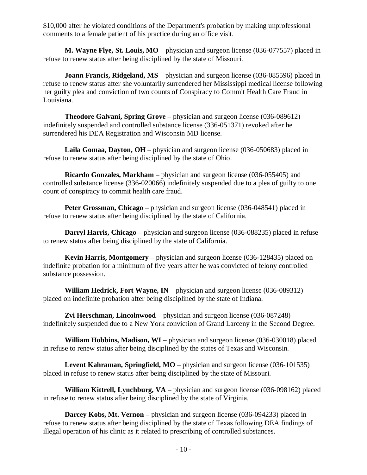\$10,000 after he violated conditions of the Department's probation by making unprofessional comments to a female patient of his practice during an office visit.

**M. Wayne Flye, St. Louis, MO** – physician and surgeon license (036-077557) placed in refuse to renew status after being disciplined by the state of Missouri.

**Joann Francis, Ridgeland, MS** – physician and surgeon license (036-085596) placed in refuse to renew status after she voluntarily surrendered her Mississippi medical license following her guilty plea and conviction of two counts of Conspiracy to Commit Health Care Fraud in Louisiana.

**Theodore Galvani, Spring Grove** – physician and surgeon license (036-089612) indefinitely suspended and controlled substance license (336-051371) revoked after he surrendered his DEA Registration and Wisconsin MD license.

**Laila Gomaa, Dayton, OH** – physician and surgeon license (036-050683) placed in refuse to renew status after being disciplined by the state of Ohio.

**Ricardo Gonzales, Markham** – physician and surgeon license (036-055405) and controlled substance license (336-020066) indefinitely suspended due to a plea of guilty to one count of conspiracy to commit health care fraud.

**Peter Grossman, Chicago** – physician and surgeon license (036-048541) placed in refuse to renew status after being disciplined by the state of California.

**Darryl Harris, Chicago** – physician and surgeon license (036-088235) placed in refuse to renew status after being disciplined by the state of California.

**Kevin Harris, Montgomery** – physician and surgeon license (036-128435) placed on indefinite probation for a minimum of five years after he was convicted of felony controlled substance possession.

**William Hedrick, Fort Wayne, IN** – physician and surgeon license (036-089312) placed on indefinite probation after being disciplined by the state of Indiana.

**Zvi Herschman, Lincolnwood** – physician and surgeon license (036-087248) indefinitely suspended due to a New York conviction of Grand Larceny in the Second Degree.

**William Hobbins, Madison, WI** – physician and surgeon license (036-030018) placed in refuse to renew status after being disciplined by the states of Texas and Wisconsin.

**Levent Kahraman, Springfield, MO** – physician and surgeon license (036-101535) placed in refuse to renew status after being disciplined by the state of Missouri.

**William Kittrell, Lynchburg, VA** – physician and surgeon license (036-098162) placed in refuse to renew status after being disciplined by the state of Virginia.

**Darcey Kobs, Mt. Vernon** – physician and surgeon license (036-094233) placed in refuse to renew status after being disciplined by the state of Texas following DEA findings of illegal operation of his clinic as it related to prescribing of controlled substances.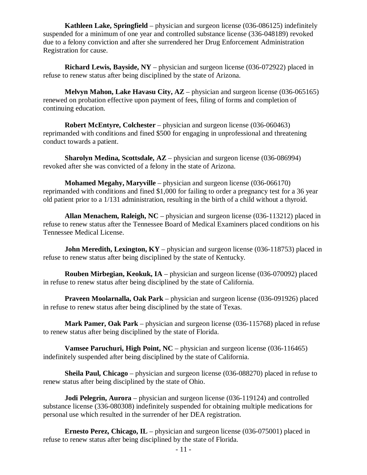**Kathleen Lake, Springfield** – physician and surgeon license (036-086125) indefinitely suspended for a minimum of one year and controlled substance license (336-048189) revoked due to a felony conviction and after she surrendered her Drug Enforcement Administration Registration for cause.

**Richard Lewis, Bayside, NY** – physician and surgeon license (036-072922) placed in refuse to renew status after being disciplined by the state of Arizona.

**Melvyn Mahon, Lake Havasu City, AZ** – physician and surgeon license (036-065165) renewed on probation effective upon payment of fees, filing of forms and completion of continuing education.

**Robert McEntyre, Colchester** – physician and surgeon license (036-060463) reprimanded with conditions and fined \$500 for engaging in unprofessional and threatening conduct towards a patient.

**Sharolyn Medina, Scottsdale, AZ** – physician and surgeon license (036-086994) revoked after she was convicted of a felony in the state of Arizona.

**Mohamed Megahy, Maryville** – physician and surgeon license (036-066170) reprimanded with conditions and fined \$1,000 for failing to order a pregnancy test for a 36 year old patient prior to a 1/131 administration, resulting in the birth of a child without a thyroid.

**Allan Menachem, Raleigh, NC** – physician and surgeon license (036-113212) placed in refuse to renew status after the Tennessee Board of Medical Examiners placed conditions on his Tennessee Medical License.

**John Meredith, Lexington, KY** – physician and surgeon license (036-118753) placed in refuse to renew status after being disciplined by the state of Kentucky.

**Rouben Mirbegian, Keokuk, IA** – physician and surgeon license (036-070092) placed in refuse to renew status after being disciplined by the state of California.

**Praveen Moolarnalla, Oak Park** – physician and surgeon license (036-091926) placed in refuse to renew status after being disciplined by the state of Texas.

**Mark Pamer, Oak Park** – physician and surgeon license (036-115768) placed in refuse to renew status after being disciplined by the state of Florida.

**Vamsee Paruchuri, High Point, NC** – physician and surgeon license (036-116465) indefinitely suspended after being disciplined by the state of California.

**Sheila Paul, Chicago** – physician and surgeon license (036-088270) placed in refuse to renew status after being disciplined by the state of Ohio.

**Jodi Pelegrin, Aurora** – physician and surgeon license (036-119124) and controlled substance license (336-080308) indefinitely suspended for obtaining multiple medications for personal use which resulted in the surrender of her DEA registration.

**Ernesto Perez, Chicago, IL** – physician and surgeon license (036-075001) placed in refuse to renew status after being disciplined by the state of Florida.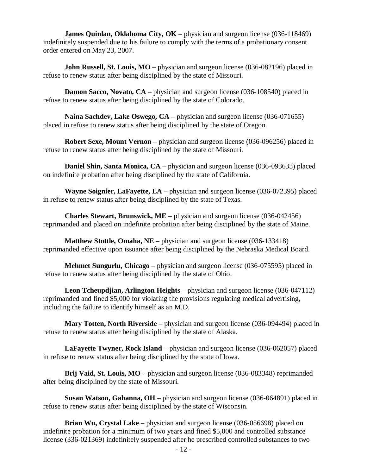**James Quinlan, Oklahoma City, OK** – physician and surgeon license (036-118469) indefinitely suspended due to his failure to comply with the terms of a probationary consent order entered on May 23, 2007.

**John Russell, St. Louis, MO** – physician and surgeon license (036-082196) placed in refuse to renew status after being disciplined by the state of Missouri.

**Damon Sacco, Novato, CA** – physician and surgeon license (036-108540) placed in refuse to renew status after being disciplined by the state of Colorado.

**Naina Sachdev, Lake Oswego, CA** – physician and surgeon license (036-071655) placed in refuse to renew status after being disciplined by the state of Oregon.

**Robert Sexe, Mount Vernon** – physician and surgeon license (036-096256) placed in refuse to renew status after being disciplined by the state of Missouri.

**Daniel Shin, Santa Monica, CA** – physician and surgeon license (036-093635) placed on indefinite probation after being disciplined by the state of California.

**Wayne Soignier, LaFayette, LA** – physician and surgeon license (036-072395) placed in refuse to renew status after being disciplined by the state of Texas.

**Charles Stewart, Brunswick, ME** – physician and surgeon license (036-042456) reprimanded and placed on indefinite probation after being disciplined by the state of Maine.

**Matthew Stottle, Omaha, NE** – physician and surgeon license (036-133418) reprimanded effective upon issuance after being disciplined by the Nebraska Medical Board.

**Mehmet Sungurlu, Chicago** – physician and surgeon license (036-075595) placed in refuse to renew status after being disciplined by the state of Ohio.

**Leon Tcheupdjian, Arlington Heights** – physician and surgeon license (036-047112) reprimanded and fined \$5,000 for violating the provisions regulating medical advertising, including the failure to identify himself as an M.D.

**Mary Totten, North Riverside** – physician and surgeon license (036-094494) placed in refuse to renew status after being disciplined by the state of Alaska.

**LaFayette Twyner, Rock Island** – physician and surgeon license (036-062057) placed in refuse to renew status after being disciplined by the state of Iowa.

**Brij Vaid, St. Louis, MO** – physician and surgeon license (036-083348) reprimanded after being disciplined by the state of Missouri.

**Susan Watson, Gahanna, OH** – physician and surgeon license (036-064891) placed in refuse to renew status after being disciplined by the state of Wisconsin.

**Brian Wu, Crystal Lake** – physician and surgeon license (036-056698) placed on indefinite probation for a minimum of two years and fined \$5,000 and controlled substance license (336-021369) indefinitely suspended after he prescribed controlled substances to two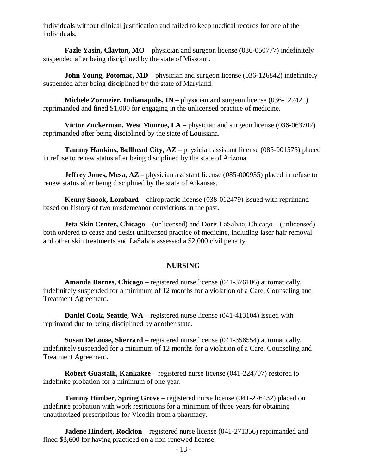individuals without clinical justification and failed to keep medical records for one of the individuals.

**Fazle Yasin, Clayton, MO** – physician and surgeon license (036-050777) indefinitely suspended after being disciplined by the state of Missouri.

**John Young, Potomac, MD** – physician and surgeon license (036-126842) indefinitely suspended after being disciplined by the state of Maryland.

**Michele Zormeier, Indianapolis, IN** – physician and surgeon license (036-122421) reprimanded and fined \$1,000 for engaging in the unlicensed practice of medicine.

**Victor Zuckerman, West Monroe, LA** – physician and surgeon license (036-063702) reprimanded after being disciplined by the state of Louisiana.

**Tammy Hankins, Bullhead City, AZ** – physician assistant license (085-001575) placed in refuse to renew status after being disciplined by the state of Arizona.

**Jeffrey Jones, Mesa, AZ** – physician assistant license (085-000935) placed in refuse to renew status after being disciplined by the state of Arkansas.

**Kenny Snook, Lombard** – chiropractic license (038-012479) issued with reprimand based on history of two misdemeanor convictions in the past.

**Jeta Skin Center, Chicago** – (unlicensed) and Doris LaSalvia, Chicago – (unlicensed) both ordered to cease and desist unlicensed practice of medicine, including laser hair removal and other skin treatments and LaSalvia assessed a \$2,000 civil penalty.

#### **NURSING**

**Amanda Barnes, Chicago** – registered nurse license (041-376106) automatically, indefinitely suspended for a minimum of 12 months for a violation of a Care, Counseling and Treatment Agreement.

**Daniel Cook, Seattle, WA** – registered nurse license (041-413104) issued with reprimand due to being disciplined by another state.

**Susan DeLoose, Sherrard** – registered nurse license (041-356554) automatically, indefinitely suspended for a minimum of 12 months for a violation of a Care, Counseling and Treatment Agreement.

**Robert Guastalli, Kankakee** – registered nurse license (041-224707) restored to indefinite probation for a minimum of one year.

**Tammy Himber, Spring Grove** – registered nurse license (041-276432) placed on indefinite probation with work restrictions for a minimum of three years for obtaining unauthorized prescriptions for Vicodin from a pharmacy.

**Jadene Hindert, Rockton** – registered nurse license (041-271356) reprimanded and fined \$3,600 for having practiced on a non-renewed license.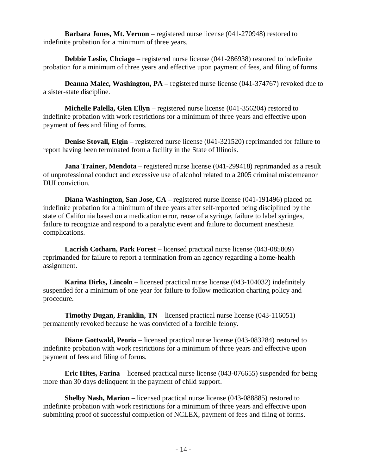**Barbara Jones, Mt. Vernon** – registered nurse license (041-270948) restored to indefinite probation for a minimum of three years.

**Debbie Leslie, Chciago** – registered nurse license (041-286938) restored to indefinite probation for a minimum of three years and effective upon payment of fees, and filing of forms.

**Deanna Malec, Washington, PA** – registered nurse license (041-374767) revoked due to a sister-state discipline.

**Michelle Palella, Glen Ellyn** – registered nurse license (041-356204) restored to indefinite probation with work restrictions for a minimum of three years and effective upon payment of fees and filing of forms.

**Denise Stovall, Elgin** – registered nurse license (041-321520) reprimanded for failure to report having been terminated from a facility in the State of Illinois.

**Jana Trainer, Mendota** – registered nurse license (041-299418) reprimanded as a result of unprofessional conduct and excessive use of alcohol related to a 2005 criminal misdemeanor DUI conviction.

**Diana Washington, San Jose, CA** – registered nurse license (041-191496) placed on indefinite probation for a minimum of three years after self-reported being disciplined by the state of California based on a medication error, reuse of a syringe, failure to label syringes, failure to recognize and respond to a paralytic event and failure to document anesthesia complications.

**Lacrish Cotharn, Park Forest** – licensed practical nurse license (043-085809) reprimanded for failure to report a termination from an agency regarding a home-health assignment.

**Karina Dirks, Lincoln** – licensed practical nurse license (043-104032) indefinitely suspended for a minimum of one year for failure to follow medication charting policy and procedure.

**Timothy Dugan, Franklin, TN** – licensed practical nurse license (043-116051) permanently revoked because he was convicted of a forcible felony.

**Diane Gottwald, Peoria** – licensed practical nurse license (043-083284) restored to indefinite probation with work restrictions for a minimum of three years and effective upon payment of fees and filing of forms.

**Eric Hites, Farina** – licensed practical nurse license (043-076655) suspended for being more than 30 days delinquent in the payment of child support.

**Shelby Nash, Marion** – licensed practical nurse license (043-088885) restored to indefinite probation with work restrictions for a minimum of three years and effective upon submitting proof of successful completion of NCLEX, payment of fees and filing of forms.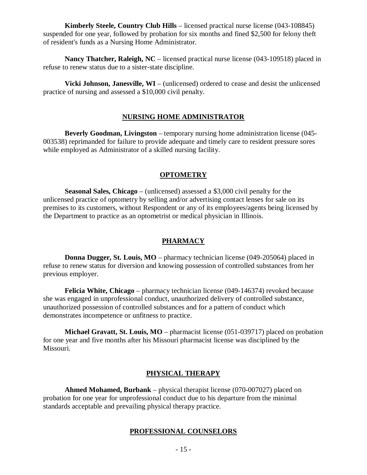**Kimberly Steele, Country Club Hills** – licensed practical nurse license (043-108845) suspended for one year, followed by probation for six months and fined \$2,500 for felony theft of resident's funds as a Nursing Home Administrator.

**Nancy Thatcher, Raleigh, NC** – licensed practical nurse license (043-109518) placed in refuse to renew status due to a sister-state discipline.

**Vicki Johnson, Janesville, WI** – (unlicensed) ordered to cease and desist the unlicensed practice of nursing and assessed a \$10,000 civil penalty.

#### **NURSING HOME ADMINISTRATOR**

**Beverly Goodman, Livingston** – temporary nursing home administration license (045- 003538) reprimanded for failure to provide adequate and timely care to resident pressure sores while employed as Administrator of a skilled nursing facility.

#### **OPTOMETRY**

**Seasonal Sales, Chicago** – (unlicensed) assessed a \$3,000 civil penalty for the unlicensed practice of optometry by selling and/or advertising contact lenses for sale on its premises to its customers, without Respondent or any of its employees/agents being licensed by the Department to practice as an optometrist or medical physician in Illinois.

#### **PHARMACY**

**Donna Dugger, St. Louis, MO** – pharmacy technician license (049-205064) placed in refuse to renew status for diversion and knowing possession of controlled substances from her previous employer.

**Felicia White, Chicago** – pharmacy technician license (049-146374) revoked because she was engaged in unprofessional conduct, unauthorized delivery of controlled substance, unauthorized possession of controlled substances and for a pattern of conduct which demonstrates incompetence or unfitness to practice.

**Michael Gravatt, St. Louis, MO** – pharmacist license (051-039717) placed on probation for one year and five months after his Missouri pharmacist license was disciplined by the Missouri.

#### **PHYSICAL THERAPY**

**Ahmed Mohamed, Burbank** – physical therapist license (070-007027) placed on probation for one year for unprofessional conduct due to his departure from the minimal standards acceptable and prevailing physical therapy practice.

#### **PROFESSIONAL COUNSELORS**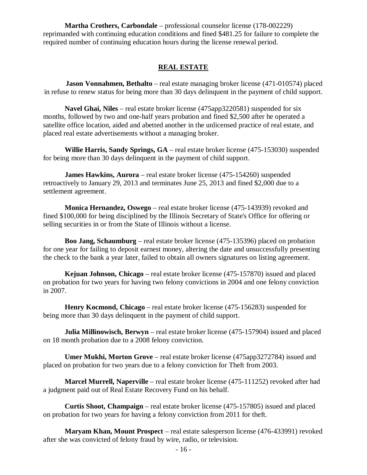**Martha Crothers, Carbondale** – professional counselor license (178-002229) reprimanded with continuing education conditions and fined \$481.25 for failure to complete the required number of continuing education hours during the license renewal period.

#### **REAL ESTATE**

**Jason Vonnahmen, Bethalto** – real estate managing broker license (471-010574) placed in refuse to renew status for being more than 30 days delinquent in the payment of child support.

**Navel Ghai, Niles** – real estate broker license (475app3220581) suspended for six months, followed by two and one-half years probation and fined \$2,500 after he operated a satellite office location, aided and abetted another in the unlicensed practice of real estate, and placed real estate advertisements without a managing broker.

**Willie Harris, Sandy Springs, GA** – real estate broker license (475-153030) suspended for being more than 30 days delinquent in the payment of child support.

**James Hawkins, Aurora** – real estate broker license (475-154260) suspended retroactively to January 29, 2013 and terminates June 25, 2013 and fined \$2,000 due to a settlement agreement.

**Monica Hernandez, Oswego** – real estate broker license (475-143939) revoked and fined \$100,000 for being disciplined by the Illinois Secretary of State's Office for offering or selling securities in or from the State of Illinois without a license.

**Boo Jang, Schaumburg** – real estate broker license (475-135396) placed on probation for one year for failing to deposit earnest money, altering the date and unsuccessfully presenting the check to the bank a year later, failed to obtain all owners signatures on listing agreement.

**Kejuan Johnson, Chicago** – real estate broker license (475-157870) issued and placed on probation for two years for having two felony convictions in 2004 and one felony conviction in 2007.

**Henry Kocmond, Chicago** – real estate broker license (475-156283) suspended for being more than 30 days delinquent in the payment of child support.

**Julia Millinowisch, Berwyn** – real estate broker license (475-157904) issued and placed on 18 month probation due to a 2008 felony conviction.

**Umer Mukhi, Morton Grove** – real estate broker license (475app3272784) issued and placed on probation for two years due to a felony conviction for Theft from 2003.

**Marcel Murrell, Naperville** – real estate broker license (475-111252) revoked after had a judgment paid out of Real Estate Recovery Fund on his behalf.

**Curtis Shoot, Champaign** – real estate broker license (475-157805) issued and placed on probation for two years for having a felony conviction from 2011 for theft.

**Maryam Khan, Mount Prospect** – real estate salesperson license (476-433991) revoked after she was convicted of felony fraud by wire, radio, or television.